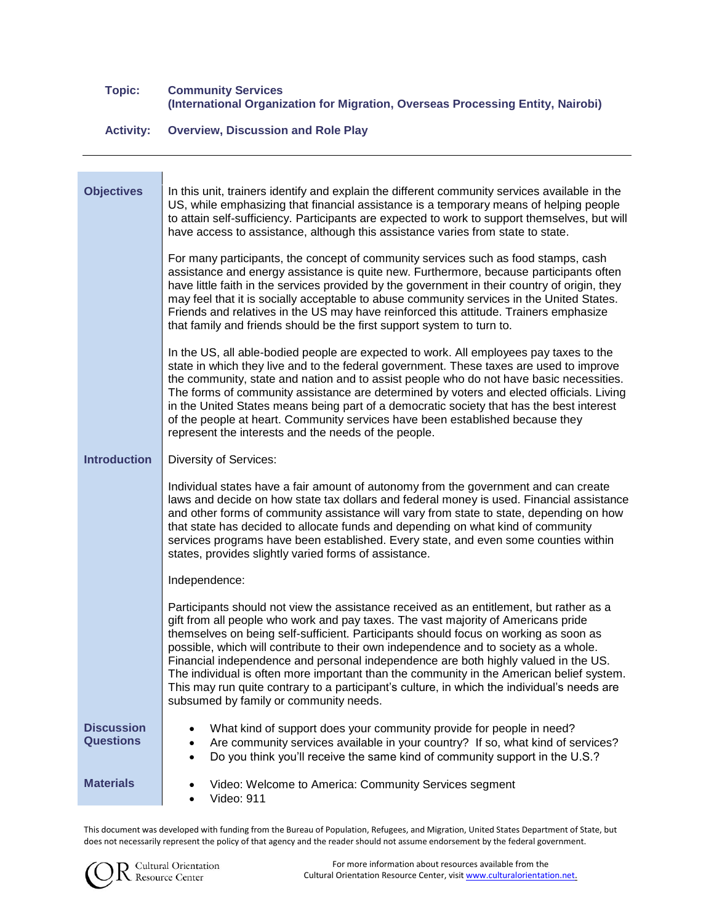# **Topic: Community Services (International Organization for Migration, Overseas Processing Entity, Nairobi)**

# **Activity: Overview, Discussion and Role Play**

| <b>Objectives</b>                     | In this unit, trainers identify and explain the different community services available in the<br>US, while emphasizing that financial assistance is a temporary means of helping people<br>to attain self-sufficiency. Participants are expected to work to support themselves, but will<br>have access to assistance, although this assistance varies from state to state.                                                                                                                                                                                                                                                                                                             |
|---------------------------------------|-----------------------------------------------------------------------------------------------------------------------------------------------------------------------------------------------------------------------------------------------------------------------------------------------------------------------------------------------------------------------------------------------------------------------------------------------------------------------------------------------------------------------------------------------------------------------------------------------------------------------------------------------------------------------------------------|
|                                       | For many participants, the concept of community services such as food stamps, cash<br>assistance and energy assistance is quite new. Furthermore, because participants often<br>have little faith in the services provided by the government in their country of origin, they<br>may feel that it is socially acceptable to abuse community services in the United States.<br>Friends and relatives in the US may have reinforced this attitude. Trainers emphasize<br>that family and friends should be the first support system to turn to.                                                                                                                                           |
|                                       | In the US, all able-bodied people are expected to work. All employees pay taxes to the<br>state in which they live and to the federal government. These taxes are used to improve<br>the community, state and nation and to assist people who do not have basic necessities.<br>The forms of community assistance are determined by voters and elected officials. Living<br>in the United States means being part of a democratic society that has the best interest<br>of the people at heart. Community services have been established because they<br>represent the interests and the needs of the people.                                                                           |
| <b>Introduction</b>                   | <b>Diversity of Services:</b>                                                                                                                                                                                                                                                                                                                                                                                                                                                                                                                                                                                                                                                           |
|                                       | Individual states have a fair amount of autonomy from the government and can create<br>laws and decide on how state tax dollars and federal money is used. Financial assistance<br>and other forms of community assistance will vary from state to state, depending on how<br>that state has decided to allocate funds and depending on what kind of community<br>services programs have been established. Every state, and even some counties within<br>states, provides slightly varied forms of assistance.                                                                                                                                                                          |
|                                       | Independence:                                                                                                                                                                                                                                                                                                                                                                                                                                                                                                                                                                                                                                                                           |
|                                       | Participants should not view the assistance received as an entitlement, but rather as a<br>gift from all people who work and pay taxes. The vast majority of Americans pride<br>themselves on being self-sufficient. Participants should focus on working as soon as<br>possible, which will contribute to their own independence and to society as a whole.<br>Financial independence and personal independence are both highly valued in the US.<br>The individual is often more important than the community in the American belief system.<br>This may run quite contrary to a participant's culture, in which the individual's needs are<br>subsumed by family or community needs. |
| <b>Discussion</b><br><b>Questions</b> | What kind of support does your community provide for people in need?<br>Are community services available in your country? If so, what kind of services?<br>Do you think you'll receive the same kind of community support in the U.S.?<br>$\bullet$                                                                                                                                                                                                                                                                                                                                                                                                                                     |
| <b>Materials</b>                      | Video: Welcome to America: Community Services segment<br>Video: 911                                                                                                                                                                                                                                                                                                                                                                                                                                                                                                                                                                                                                     |

This document was developed with funding from the Bureau of Population, Refugees, and Migration, United States Department of State, but does not necessarily represent the policy of that agency and the reader should not assume endorsement by the federal government.

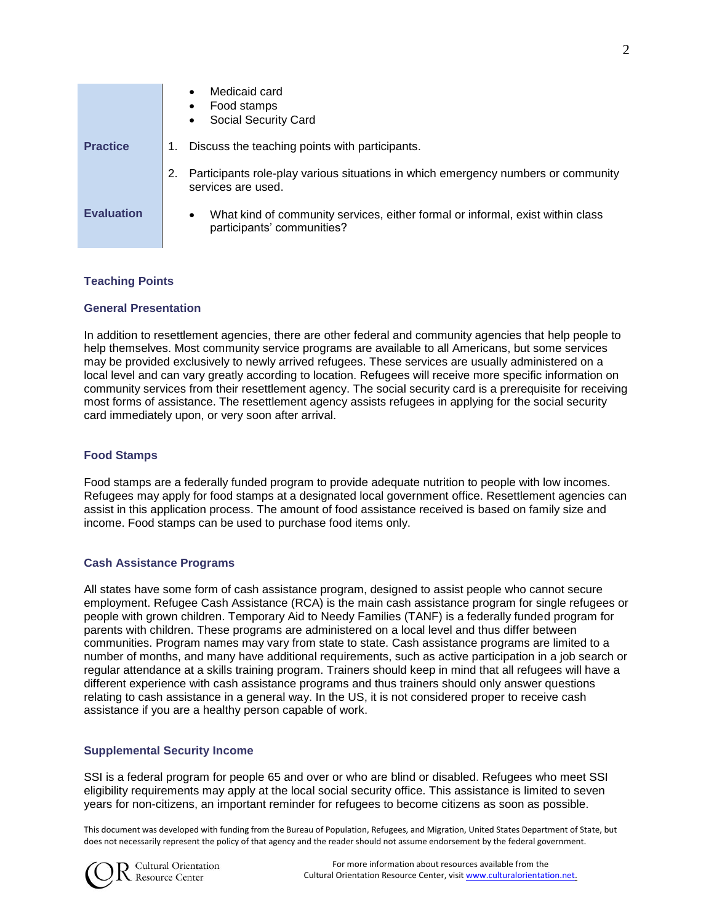|                   | Medicaid card<br>Food stamps<br>$\bullet$<br>Social Security Card                                                 |
|-------------------|-------------------------------------------------------------------------------------------------------------------|
| <b>Practice</b>   | Discuss the teaching points with participants.                                                                    |
|                   | Participants role-play various situations in which emergency numbers or community<br>2.<br>services are used.     |
| <b>Evaluation</b> | What kind of community services, either formal or informal, exist within class<br>٠<br>participants' communities? |

# **Teaching Points**

# **General Presentation**

In addition to resettlement agencies, there are other federal and community agencies that help people to help themselves. Most community service programs are available to all Americans, but some services may be provided exclusively to newly arrived refugees. These services are usually administered on a local level and can vary greatly according to location. Refugees will receive more specific information on community services from their resettlement agency. The social security card is a prerequisite for receiving most forms of assistance. The resettlement agency assists refugees in applying for the social security card immediately upon, or very soon after arrival.

# **Food Stamps**

Food stamps are a federally funded program to provide adequate nutrition to people with low incomes. Refugees may apply for food stamps at a designated local government office. Resettlement agencies can assist in this application process. The amount of food assistance received is based on family size and income. Food stamps can be used to purchase food items only.

# **Cash Assistance Programs**

All states have some form of cash assistance program, designed to assist people who cannot secure employment. Refugee Cash Assistance (RCA) is the main cash assistance program for single refugees or people with grown children. Temporary Aid to Needy Families (TANF) is a federally funded program for parents with children. These programs are administered on a local level and thus differ between communities. Program names may vary from state to state. Cash assistance programs are limited to a number of months, and many have additional requirements, such as active participation in a job search or regular attendance at a skills training program. Trainers should keep in mind that all refugees will have a different experience with cash assistance programs and thus trainers should only answer questions relating to cash assistance in a general way. In the US, it is not considered proper to receive cash assistance if you are a healthy person capable of work.

# **Supplemental Security Income**

SSI is a federal program for people 65 and over or who are blind or disabled. Refugees who meet SSI eligibility requirements may apply at the local social security office. This assistance is limited to seven years for non-citizens, an important reminder for refugees to become citizens as soon as possible.

This document was developed with funding from the Bureau of Population, Refugees, and Migration, United States Department of State, but does not necessarily represent the policy of that agency and the reader should not assume endorsement by the federal government.



**Cultural Orientation** Resource Center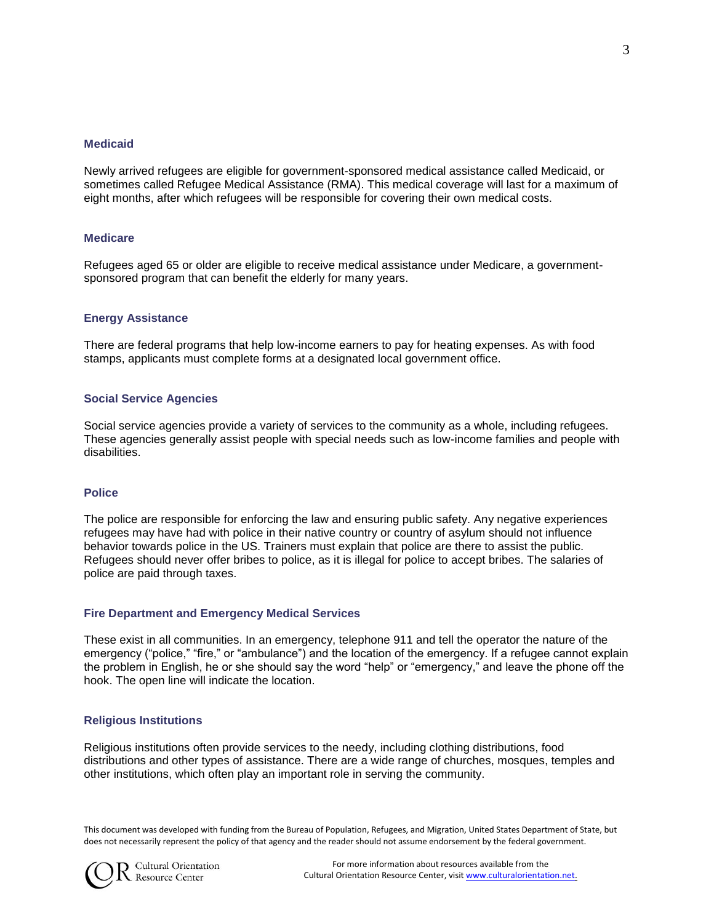## **Medicaid**

Newly arrived refugees are eligible for government-sponsored medical assistance called Medicaid, or sometimes called Refugee Medical Assistance (RMA). This medical coverage will last for a maximum of eight months, after which refugees will be responsible for covering their own medical costs.

## **Medicare**

Refugees aged 65 or older are eligible to receive medical assistance under Medicare, a governmentsponsored program that can benefit the elderly for many years.

### **Energy Assistance**

There are federal programs that help low-income earners to pay for heating expenses. As with food stamps, applicants must complete forms at a designated local government office.

### **Social Service Agencies**

Social service agencies provide a variety of services to the community as a whole, including refugees. These agencies generally assist people with special needs such as low-income families and people with disabilities.

### **Police**

The police are responsible for enforcing the law and ensuring public safety. Any negative experiences refugees may have had with police in their native country or country of asylum should not influence behavior towards police in the US. Trainers must explain that police are there to assist the public. Refugees should never offer bribes to police, as it is illegal for police to accept bribes. The salaries of police are paid through taxes.

### **Fire Department and Emergency Medical Services**

These exist in all communities. In an emergency, telephone 911 and tell the operator the nature of the emergency ("police," "fire," or "ambulance") and the location of the emergency. If a refugee cannot explain the problem in English, he or she should say the word "help" or "emergency," and leave the phone off the hook. The open line will indicate the location.

## **Religious Institutions**

Religious institutions often provide services to the needy, including clothing distributions, food distributions and other types of assistance. There are a wide range of churches, mosques, temples and other institutions, which often play an important role in serving the community.

This document was developed with funding from the Bureau of Population, Refugees, and Migration, United States Department of State, but does not necessarily represent the policy of that agency and the reader should not assume endorsement by the federal government.



Cultural Orientation Resource Center